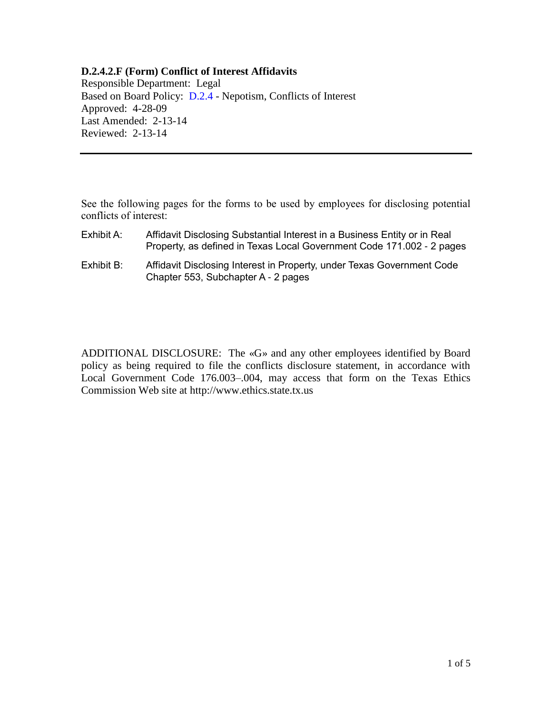## **D.2.4.2.F (Form) Conflict of Interest Affidavits**

Responsible Department: Legal Based on Board Policy: [D.2.4](https://www.alamo.edu/siteassets/district/about-us/leadership/board-of-trustees/policies-pdfs/section-d/d.2.4-policy.pdf) - Nepotism, Conflicts of Interest Approved: 4-28-09 Last Amended: 2-13-14 Reviewed: 2-13-14

See the following pages for the forms to be used by employees for disclosing potential conflicts of interest:

| Exhibit A: | Affidavit Disclosing Substantial Interest in a Business Entity or in Real<br>Property, as defined in Texas Local Government Code 171.002 - 2 pages |
|------------|----------------------------------------------------------------------------------------------------------------------------------------------------|
| Exhibit B: | Affidavit Disclosing Interest in Property, under Texas Government Code<br>Chapter 553, Subchapter A - 2 pages                                      |

ADDITIONAL DISCLOSURE: The «G» and any other employees identified by Board policy as being required to file the conflicts disclosure statement, in accordance with Local Government Code 176.003–.004, may access that form on the Texas Ethics Commission Web site at http://www.ethics.state.tx.us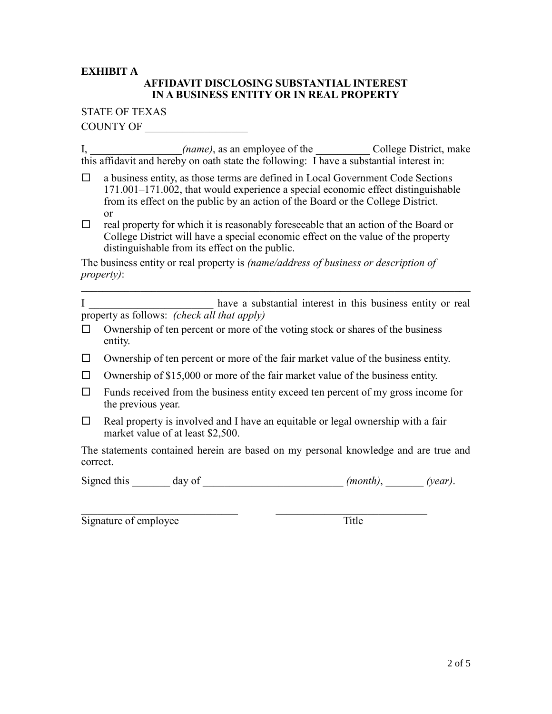## **EXHIBIT A**

# **AFFIDAVIT DISCLOSING SUBSTANTIAL INTEREST IN A BUSINESS ENTITY OR IN REAL PROPERTY**

#### STATE OF TEXAS

COUNTY OF \_\_\_\_\_\_\_\_\_\_\_\_\_\_\_\_\_\_\_

I, *I*, *(name)*, as an employee of the *College District*, make this affidavit and hereby on oath state the following: I have a substantial interest in:

- $\Box$  a business entity, as those terms are defined in Local Government Code Sections 171.001–171.002, that would experience a special economic effect distinguishable from its effect on the public by an action of the Board or the College District. or
- $\Box$  real property for which it is reasonably foreseeable that an action of the Board or College District will have a special economic effect on the value of the property distinguishable from its effect on the public.

The business entity or real property is *(name/address of business or description of property)*:  $\mathcal{L}_\text{max}$  , and the contribution of the contribution of the contribution of the contribution of the contribution of the contribution of the contribution of the contribution of the contribution of the contribution of t

I have a substantial interest in this business entity or real property as follows: *(check all that apply)* 

- $\Box$  Ownership of ten percent or more of the voting stock or shares of the business entity.
- $\Box$  Ownership of ten percent or more of the fair market value of the business entity.
- $\Box$  Ownership of \$15,000 or more of the fair market value of the business entity.
- $\Box$  Funds received from the business entity exceed ten percent of my gross income for the previous year.
- $\Box$  Real property is involved and I have an equitable or legal ownership with a fair market value of at least \$2,500.

The statements contained herein are based on my personal knowledge and are true and correct.

Signed this day of  $(month)$ ,  $(year)$ .

 $\mathcal{L}_\text{max}$  , and the contribution of the contribution of  $\mathcal{L}_\text{max}$  , and the contribution of  $\mathcal{L}_\text{max}$ 

Signature of employee Title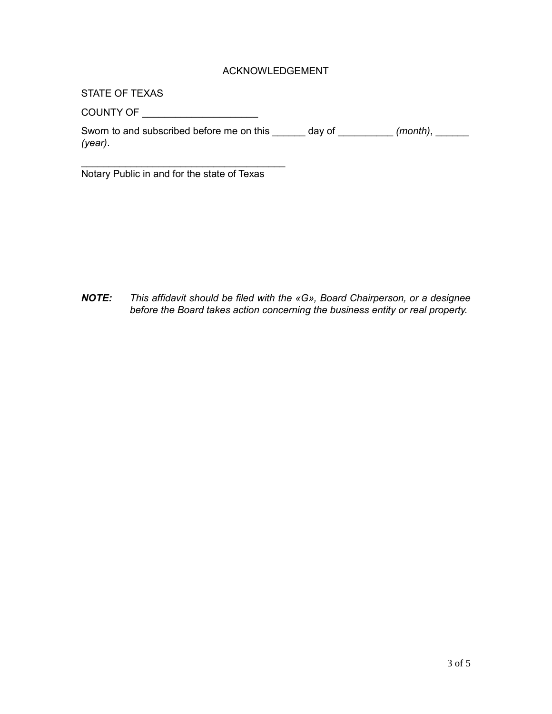## ACKNOWLEDGEMENT

STATE OF TEXAS

COUNTY OF \_\_\_\_\_\_\_\_\_\_\_\_\_\_\_\_\_\_\_\_\_\_\_\_\_

Sworn to and subscribed before me on this \_\_\_\_\_\_ day of \_\_\_\_\_\_\_\_\_ *(month)*, \_\_\_\_\_\_ *(year)*.

\_\_\_\_\_\_\_\_\_\_\_\_\_\_\_\_\_\_\_\_\_\_\_\_\_\_\_\_\_\_\_\_\_\_\_\_\_ Notary Public in and for the state of Texas

*NOTE: This affidavit should be filed with the «G», Board Chairperson, or a designee before the Board takes action concerning the business entity or real property.*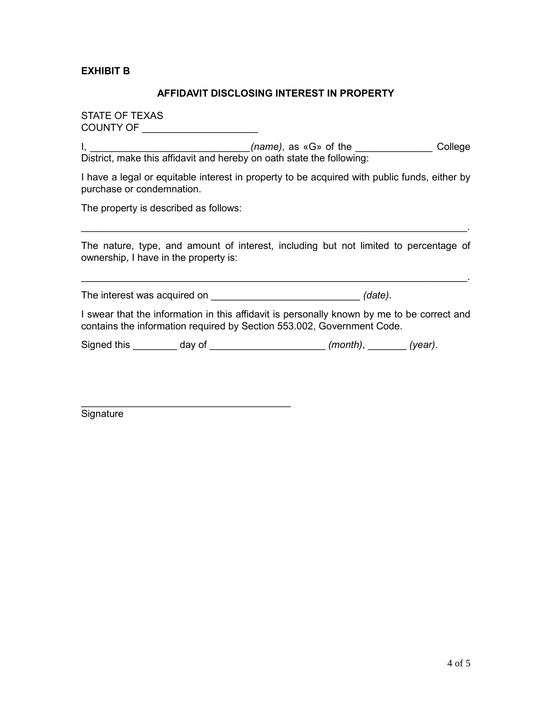**EXHIBIT B**

#### **AFFIDAVIT DISCLOSING INTEREST IN PROPERTY**

STATE OF TEXAS COUNTY OF \_\_\_\_\_\_\_\_\_\_\_\_\_\_\_\_\_\_\_\_\_

I, *\_\_\_\_\_\_\_\_\_\_\_\_\_\_\_\_\_\_\_\_\_\_\_\_\_\_\_\_\_(name)*, as «G» of the *\_\_\_\_\_\_\_\_\_\_\_\_\_\_* College District, make this affidavit and hereby on oath state the following:

I have a legal or equitable interest in property to be acquired with public funds, either by purchase or condemnation.

The property is described as follows:

\_\_\_\_\_\_\_\_\_\_\_\_\_\_\_\_\_\_\_\_\_\_\_\_\_\_\_\_\_\_\_\_\_\_\_\_\_\_

The nature, type, and amount of interest, including but not limited to percentage of ownership, I have in the property is:

 $\mathcal{L}_\mathcal{L} = \{ \mathcal{L}_\mathcal{L} = \{ \mathcal{L}_\mathcal{L} = \{ \mathcal{L}_\mathcal{L} = \{ \mathcal{L}_\mathcal{L} = \{ \mathcal{L}_\mathcal{L} = \{ \mathcal{L}_\mathcal{L} = \{ \mathcal{L}_\mathcal{L} = \{ \mathcal{L}_\mathcal{L} = \{ \mathcal{L}_\mathcal{L} = \{ \mathcal{L}_\mathcal{L} = \{ \mathcal{L}_\mathcal{L} = \{ \mathcal{L}_\mathcal{L} = \{ \mathcal{L}_\mathcal{L} = \{ \mathcal{L}_\mathcal{$ 

\_\_\_\_\_\_\_\_\_\_\_\_\_\_\_\_\_\_\_\_\_\_\_\_\_\_\_\_\_\_\_\_\_\_\_\_\_\_\_\_\_\_\_\_\_\_\_\_\_\_\_\_\_\_\_\_\_\_\_\_\_\_\_\_\_\_\_\_\_\_.

The interest was acquired on \_\_\_\_\_\_\_\_\_\_\_\_\_\_\_\_\_\_\_\_\_\_\_\_\_\_\_ *(date)*.

I swear that the information in this affidavit is personally known by me to be correct and contains the information required by Section 553.002, Government Code.

Signed this \_\_\_\_\_\_\_\_ day of \_\_\_\_\_\_\_\_\_\_\_\_\_\_\_\_\_\_\_\_\_ *(month)*, \_\_\_\_\_\_\_ *(year)*.

**Signature**